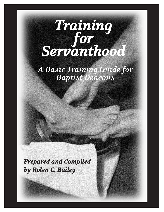# *Training for Servanthood*

*A Basic Training Guide for Baptist Deacons*

*Prepared and Compiled by Rolen C. Bailey*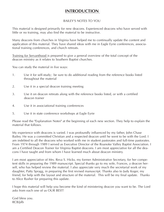# **INTRODUCTION**

# BAILEY'S NOTES TO YOU

This material is designed primarily for new deacons. Experienced deacons who have served with little or no training, may also find the material to be instructive.

Many deacons from churches in Virginia have helped me to continually update the content and application of this material. They have shared ideas with me in Eagle Eyrie conferences, associational training conferences, and church retreats.

Training for Servanthood is prepared to give a general overview of the total concept of the deacon ministry as it relates to Southern Baptist churches.

You can study the material in five ways:

- 1. Use it for self-study; be sure to do additional reading from the reference books listed throughout the material
- 2. Use it in a special deacon training meeting
- 3. Use it on deacon retreats along with the reference books listed, or with a certified deacon trainer
- 4. Use it in associational training conferences
- 5. Use it in state conference workshops at Eagle Eyrie

Please read the "Explanation Notes" at the beginning of each new section. They help to explain the material that follows.

My experience with deacons is varied. I was profoundly influenced by my father, John Chase Bailey. He was a committed Christian and a respected deacon until he went to be with the Lord. I am indebted to all the deacons who worked with me in student pastorates and full-time pastorates. From 1974 through 1989 I served as Executive Director of the Roanoke Valley Baptist Association. I am a Certified Deacon Trainer for Virginia Baptist deacons. I am most appreciative for all the deacons I have taught and from whom I have learned much about deacon ministry.

I am most appreciative of Mrs. Reva S. Hicks, my former Administrative Secretary, for her competent skills in preparing the 1989 manuscript. Special thanks go to my wife, Frances, a deacon herself, who has helped review the material. I also appreciate very much the secretarial work of my daughter, Patty Spragg, in preparing the first revised manuscript. Thanks also to Judy Koger, my friend, for help with the layout and structure of the material. This will be my final update. Thanks to Alice Rusher for preparing this update.

I hope this material will help you become the kind of ministering deacon you want to be. The Lord asks from each one of us OUR BEST!

God bless you. RCB/plb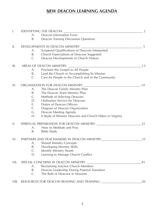# **NEW DEACON LEARNING AGENDA**

| $\mathsf{I}$ . |                                                        | IDENTIFYING THE DEACON:                                | $\overline{2}$ |
|----------------|--------------------------------------------------------|--------------------------------------------------------|----------------|
|                | A.                                                     | Deacon Information Form                                |                |
|                | B.                                                     | Deacon Training Discussion Questions                   |                |
| II.            |                                                        | DEVELOPMENTS IN DEACON MINISTRY:                       | 5              |
|                | A.                                                     | Scriptural Qualifications of Deacons Interpreted       |                |
|                | B.                                                     | Church Expectations of Deacons Suggested               |                |
|                | C.                                                     | Deacon Developments in Church History                  |                |
| III.           | AREAS OF DEACON MINISTRY:                              |                                                        | 13             |
|                | A.                                                     | Proclaim the Gospel to All People                      |                |
|                | B.                                                     | Lead the Church in Accomplishing Its Mission           |                |
|                | $C_{\cdot}$                                            | Care for People in the Church and in the Community     |                |
| IV.            |                                                        | ORGANIZATION FOR DEACON MINISTRY: ___                  | 14             |
|                | A.                                                     | The Deacon Family Ministry Plan                        |                |
|                | Β.                                                     | The Deacon Team Ministry Plan                          |                |
|                | C.                                                     | Methods of Selecting Deacons                           |                |
|                | D.                                                     | <b>Ordination Service for Deacons</b>                  |                |
|                | Ε.                                                     | Duties of Deacon Officers                              |                |
|                | F.                                                     | Diagram of Deacon Organization                         |                |
|                | G.                                                     | Deacon Meeting Agenda                                  |                |
|                | Η.                                                     | A Study of Women Deacons and Church Elders in Virginia |                |
| V.             | SPIRITUAL PREPARATION FOR DEACON MINISTRY: ___________ |                                                        | 31             |
|                | A.                                                     | How to Meditate and Pray                               |                |
|                | Β.                                                     | <b>Bible Study</b>                                     |                |
| VI.            |                                                        | PARTNERS AND PEACEMAKERS IN DEACON MINISTRY:           | 33             |
|                | A.                                                     | <b>Shared Ministry Concepts</b>                        |                |
|                | Β.                                                     | Developing Ministry Skills                             |                |
|                | $\mathsf{C}.$                                          | <b>Identify Ministry Needs</b>                         |                |
|                | D.                                                     | Learning to Manage Church Conflict                     |                |
| VII.           | SPECIAL CONCERNS IN DEACON MINISTRY:                   |                                                        | 45             |
|                | A.                                                     | Reclaiming Inactive Church Members                     |                |
|                | B.                                                     | Deacon Leadership During Pastoral Transition           |                |
|                | $\mathsf{C}.$                                          | The Role of Deacons in Missions                        |                |
|                |                                                        | VIII. RESOURCES FOR DEACON READING AND TRAINING:       | 50             |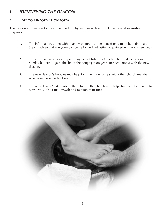# **I. IDENTIFYING THE DEACON**

# **A. DEACON INFORMATION FORM**

The deacon information form can be filled out by each new deacon. It has several interesting purposes:

- 1. The information, along with a family picture, can be placed on a main bulletin board in the church so that everyone can come by and get better acquainted with each new deacon.
- 2. The information, at least in part, may be published in the church newsletter and/or the Sunday bulletin. Again, this helps the congregation get better acquainted with the new deacon.
- 3. The new deacon's hobbies may help form new friendships with other church members who have the same hobbies.
- 4. The new deacon's ideas about the future of the church may help stimulate the church to new levels of spiritual growth and mission ministries.

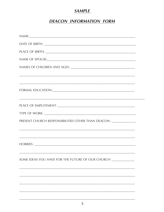# **SAMPLE**

# **DEACON INFORMATION FORM**

| ,我们也不能会在这里,我们的人们也不能会在这里,我们也不能会在这里,我们也不能会在这里,我们也不能会在这里,我们也不能会在这里,我们也不能会不能会不能会。""我们                                                      |  |
|----------------------------------------------------------------------------------------------------------------------------------------|--|
|                                                                                                                                        |  |
|                                                                                                                                        |  |
|                                                                                                                                        |  |
| PRESENT CHURCH RESPONSIBILITIES OTHER THAN DEACON: ______________________________                                                      |  |
| <u> 1980 - Johann Harry Harry Harry Harry Harry Harry Harry Harry Harry Harry Harry Harry Harry Harry Harry Harry</u><br>$HOBBIES: \_$ |  |
| SOME IDEAS YOU HAVE FOR THE FUTURE OF OUR CHURCH:                                                                                      |  |
|                                                                                                                                        |  |
|                                                                                                                                        |  |
|                                                                                                                                        |  |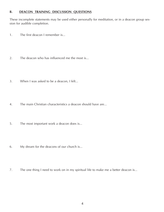# **B. DEACON TRAINING DISCUSSION QUESTIONS**

These incomplete statements may be used either personally for meditation, or in a deacon group session for audible completion.

- 1. The first deacon I remember is...
- 2. The deacon who has influenced me the most is...
- 3. When I was asked to be a deacon, I felt...
- 4. The main Christian characteristics a deacon should have are...
- 5. The most important work a deacon does is...
- 6. My dream for the deacons of our church is...
- 7. The one thing I need to work on in my spiritual life to make me a better deacon is...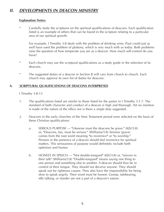# **II. DEVELOPMENTS IN DEACON MINISTRY**

# **Explanation Notes:**

Carefully study the scriptures on the spiritual qualifications of deacons. Each qualification listed is an example of others that can be found in the scripture relating to a particular area of our spiritual growth.

For example, I Timothy 3:8 deals with the problem of drinking wine. Paul could just as well have used the problem of gluttony, which is very much with us today. Both problems raise the question of how temperate you are as a deacon. How much self-control do you have?

- \* Each church may use the scriptural qualifications as a study guide in the selection of its deacons.
- \* The suggested duties of a deacon in Section B will vary from church to church. Each church may approve its own list of duties for deacons.

# **A. SCRIPTURAL QUALIFICATIONS OF DEACONS INTERPRETED**

I Timothy 3:8-13

- 1. The qualifications listed are similar to those listed for the pastor in I Timothy 3:1-7. The standard of both character and conduct of a deacon is high and thorough. Yet no mention is made of the nature of the office nor is there a single duty suggested.
- 2. Deacons in the early churches of the New Testament period were selected on the basis of these Christian qualifications:
	- a. SERIOUS PURPOSE "Likewise must the deacons be grave." (KJV/3:8) or, "Deacons, too, must be serious." (Williams/3:8) Semnos (grave) comes from the root word meaning "to reverence" or "to worship." Persons in the presence of a deacon should feel reverence for spiritual matters. This seriousness of purpose would definitely include both optimism and humor.
	- b. HONEST IN SPEECH "Not double-tongued" (KJV/3:8) or, "sincere in their talk" (Williams/3:8) "Double-tongued" means saying one thing to one person and something else to another. A deacon should thus be in control of their tongue. They should not deceive anyone. They should speak out for righteous causes. They also have the responsibility for being slow to speak angrily. Their word must be honest. Gossip, talebearing, idle talking, or slander are not a part of a deacon's nature.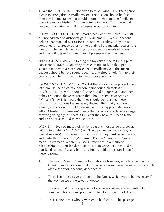- c. TEMPERATE IN LIVING "Not given to much wine" (KJV 3:8) or, "not dicted to strong drink." (Williams/3:8) The deacon should be free from any intemperance that would injure him/her and the family and make ineffective his/her Christian witness in a non-Christian world devoted to a variety of willful excesses in personal living.
- d. STEWARD OF POSSESSIONS "Not greedy of filthy lucre" (KJV/3:8) or, "not addicted to dishonest gain." (Williams/3:8) While deacons believe that material possessions are not evil or filthy, They are not controlled by a greedy obsession to obtain all the material possessions they can. They will have a caring concern for the needs of others; and they will desire to share material possessions with others.
- e. SPIRITUAL INTEGRITY "Holding the mystery of the faith in a pure conscience." (KJV/3:9) or, "they must continue to hold the open secret of faith with a clear conscience." (Williams/3:9) This means deacons should believe sound doctrine, and should hold firm to their convictions. Their spiritual integrity is above reproach.
- f. PROVED SPIRITUAL MATURITY "Let these also first be proved; then let them use the office of a deacon, being found blameless."  $(K|V/3:10)$  or, "They too should first be tested till approved, and then, if they are found above reproach they should serve as deacons." (Williams/3:10) This means that they should demonstrate these spiritual qualifications before being elected. Their daily attitudes, speech, and conduct should be observed for an appropriate period by fellow Christians. "Blameless" means that no one could level a charge of wrong doing against them. Only after they have thus been tested and proved true should they be elected.
- g. WOMEN "Even so must their wives be grave, not slanderers, sober, faithful in all things." (KJV/3:11) or, "The deaconesses too (acting as official servants) must be serious, not gossips; they must be temperate and perfectly trustworthy." (Williams/3:11) The Greek word, "gune," means "a woman." When it is used in reference to a marriage relationship, it is translated, "a wife." Here in verse 3:11 it should be translated "women." Many biblical scholars hold to this translation for these reasons:
	- 1. The words "even so" are the translation of hosautos, which is used in the Greek to introduce a second or third in a series. Here the series is of church officials: pastor, deacons, deaconesses.
	- 2. There is no possessive pronoun in the Greek, which would be necessary if the women were the wives of deacons.
	- 3. The four qualifications (grave, not slanderers, sober, and faithful) with some variations, correspond to the first four required of deacons.
	- 4. This section deals wholly with church officials. This passage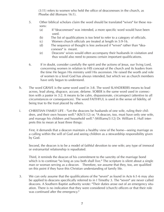(3:11) refers to women who held the office of deaconesses in the church, as Phoebe did (Romans 16:1).

- 5. Other biblical scholars claim the word should be translated "wives" for these reasons:
	- (a) If "deaconesses" was intended, a more specific word would have been used.
	- (b) The list of qualifications is too brief to refer to a category of officials.
	- (c) Women church officials are treated at length in 5:9-16.
	- (d) The sequence of thought is less awkward if "wives" rather than "deaconeses" is meant.
	- (e) Deacons' wives would often accompany their husbands in visitation and thus would also need to possess certain important qualifications.
- 6. If in doubt, consider carefully the spirit and the actions of Jesus, our living Lord, concerning women in relation to HIS concept of the church and its leaders from the time He began His ministry until His ascension. He raised the worth and role of women to a level God has always intended, but which we as church members have only begun to understand.
- h. The word GRAVE is the same word used in 3:8. The word SLANDERERS means to lead across, lead along, disgrace, accuse, defame. SOBER is the same word used in connection with a pastor in 3:2. It means to be calm, dispassionate, circumspect (attentive to all circumstances or consequences). The word FAITHFUL is used in the sense of fidelity, of being true to the trust placed by others.
- i. CHRISTIAN FAMILY LIFE "Let the deacons be husbands of one wife, ruling their children, and their own houses well." (KJV/3:12) or, "A deacon, too, must have only one wife, and manage his children and household well." (Williams/3:12) Dr. William E. Hull interprets this to mean at least three things:

First, it demands that a deacon maintain a healthy view of the home—seeing marriage as a calling within the will of God and seeing children as a stewardship responsibility given by God.

Second, the deacon is to be a model of faithful devotion to one wife; any type of immoral or extramarital relationship is repudiated.

Third, it reminds the deacon of his commitment to the sanctity of the marriage bond which is to continue "so long as you both shall live." The scripture is silent about a single man or woman serving as a deacon. Therefore, we assume that they, too, are qualified on this point if they have this Christian understanding of family life.

3. We can only assume that the qualifications of the "seven" as found in Acts 6:1-6 may also be applied to deacons specifically referred to in I Timothy 3. The "seven" are never called deacons. A Southern Baptist authority wrote: "Their duties arose out of an emergency situation. There is no indication that they were considered (church) officers or that their role was continued after the emergency."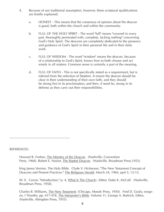- 4. Because of our traditional assumption, however, these scriptural qualifications are briefly explained.
	- a. HONEST This means that the consensus of opinion about the deacon is good, both within the church and within the community.
	- b. FULL OF THE HOLY SPIRIT The word "full" means "covered in every part, thoroughly permeated with, complete, lacking nothing" concerning God's Holy Spirit. The deacons are completely dedicated to the presence and guidance of God's Spirit in their personal life and in their daily work.
	- c. FULL OF WISDOM The word "wisdom" means the deacon, because of a relationship to God's Spirit, knows how to both choose and act wisely in all matters. Common sense is certainly a part of the meaning.
	- d. FULL OF FAITH This is not specifically stated as a requirement, but is inferred from the selection of Stephen. It means the deacon should be clear in their understanding of their own faith, and they should be strong first in its proclamation, and then, if need be, strong in its defense as they carry out their responsibilities.

REFERENCES:

Howard B. Foshee, The Ministry of the Deacon. (Nashville, Convention Press, 1968). Robert E. Naylor, The Baptist Deacon. (Nashville, Broadman Press,1955).

King James Version, The Holy Bible. Clyde V. Hickerson, "The New Testament Concept of Deacons and Present Practices." The Religious Herald. March 24, 1960, pp4-5, 12-13.

W. 0. Carver, "Introduction," p. 4, What Is The Church:. Editor, Duke K. McCall. (Nashville, Broadman Press, 1958).

Charles B. Williams, The New Testament. (Chicago, Moody Press, 1950). Fred D. Gealy, exegesis, I Timothy, pp, 417-418, The Interpreter's Bible. Volume 11, George A. Buttrick, Editor, (Nashville, Abingdon Press, 1955).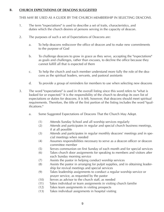## **B. CHURCH EXPECTATIONS OF DEACONS SUGGESTED**

THIS MAY BE USED AS A GUIDE BY THE CHURCH MEMBERSHIP IN SELECTING DEACONS.

- 1. The term "expectations" is used to describe a set of traits, characteristics, and duties which the church desires of persons serving in the capacity of deacon.
- 2. The purposes of such a set of Expectations of Deacons are:
	- a. To help deacons rediscover the office of deacon and to make new commitments to the purpose of God
	- b. To challenge deacons to grow in grace as they serve, accepting the "expectations" as goals and challenges, rather than excuses, to decline the office because they cannot fulfill all that is expected of them
	- c. To help the church and each member understand more fully the role of the deacons as the spiritual leaders, servants, and pastoral assistants
	- d. To provide a group of reminders for members to use when selecting new deacons
- 3. The word "expectations" is used in the overall listing since this word refers to "what is looked for or expected." It is the responsibility of the church to develop its own list of expectations or duties for deacons. It is felt, however, that deacons should meet spiritual requirements. Therefore, the title of the first portion of the listing includes the word "qualifications."
	- a. Some Suggested Expectations of Deacons That the Church May Adopt.
		- (1) Attends Sunday School and all worship services regularly
		- (2) Attends and participates in regular and special church business meetings, if at all possible
		- (3) Attends and participates in regular monthly deacons' meetings and in special meetings when needed
		- (4) Assumes responsibilities necessary to serve as a deacon officer or deacon committee member
		- (5) Serves communion on first Sunday of each month and for special services
		- (6) Takes church door assignments for speaking to members and visitors after each Sunday morning service
		- (7) Assists the pastor in helping conduct worship services
		- (8) Assists the pastor in arranging for pulpit supplies, and in obtaining leadership for revival meetings and special services
		- (9) Takes leadership assignments to conduct a regular worship service or prayer service, as requested by the pastor
		- (10) Serves as advisor to the church staff, as needed
		- (11) Takes individual or team assignments in visiting church familie
		- (12) Takes team assignments in visiting prospects
		- (13) Takes individual assignments in hospital visiting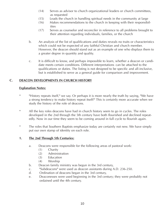- (14) Serves as advisor to church organizational leaders or church committees, as requested
- (15) Leads the church in handling spiritual needs in the community at large
- (16) Makes recommendations to the church in keeping with their responsibilities
- (17) Serves as counselor and reconciler in reference to all problems brought to their attention regarding individuals, families, or the church
- b. An analysis of the list of qualifications and duties reveals no traits or characteristics which could not be expected of any faithful Christian and church member. However, the deacon should stand out as an example of one who displays them to a greater degree in quantity and quality.
- c. It is difficult to know, and perhaps impossible to learn, whether a deacon or candidate meets certain conditions. Different interpretations can be attached to the qualifications or duties. The listing is not designed to be specific and all-inclusive, but is established to serve as a general guide for comparison and improvement.

# **C. DEACON DEVELOPMENTS IN CHURCH HISTORY**

# **Explanation Notes:**

- \* "History repeats itself," we say. Or perhaps it is more nearly the truth by saying, "We have a strong tendency to make history repeat itself!" This is certainly more accurate when we study the history of the role of deacons.
- \* All the key roles deacons have had in church history seem to go in cycles. The roles developed in the 2nd through the 5th century have both flourished and declined repeatedly. Now in our time they seem to be coming around in full cycle to flourish again.
- \* The roles that Southern Baptists emphasize today are certainly not new. We have simply put our own stamp of identity on each role.

# **1. The 2nd Through 5th Centuries:**

- a. Deacons were responsible for the following areas of pastoral work:
	- (1) Charity
	- (2) Administration
	- (3) Education
	- (4) Worship
- b. Deacon family ministry was begun in the 3rd century,
- c. "Subdeacons" were used as deacon assistants during A.D. 236-250.
- d. Ordination of deacons began in the 3rd century,
- e. Deaconesses were used beginning in the 3rd century; they were probably not ordained until the 4th century.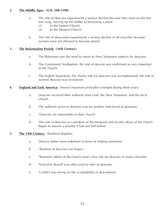# **2. The Middle Ages: (A.D. 500-1500)**

- a. The role of deacons experienced a serious decline because they were on the bottom rung, moving up the ladder to becoming a priest:
	- (1) In the Eastern Church
	- (2) In the Western Church
- b. The role of deaconess experienced a serious decline in all churches because women were not allowed to become priests.

#### **3. The Reformation Period: (16th Century)**

- a. The Reformers saw the need to return to New Testament patterns for deacons.
- b. The Continental Anabaptists: the role of deacon was reaffirmed as very important to the church.
- c. The English Separatists: the charity role for deacons was re-emphasized; the role of women deacons was revitalized.
- **4. England and Early America:** Several important principles emerged during these years:
	- a. Deacons received their authority from God, the New Testament, and the local church.
	- b. The authority given to deacons was for positive and practical purposes.
	- c. Deacons are responsible to their church.
	- d. The role of deacons as caretakers of the temporal and secular affairs of the church began to assume a priority it had not had before.

#### **5.** The 19th Century: (Southern Baptists)

- a. Deacon duties were redefined in terms of helping ministries.
- b. Rotation of deacons was begun.
- c. "Business" affairs of the church were a key role for deacons in many churches.
- d. "Executive Board" was often used to refer to deacons.
- e. Conflict was strong on the acceptability of deaconesses.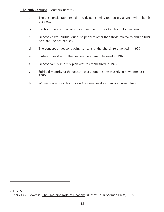# **6. The 20th Century:** (Southern Baptists)

- a. There is considerable reaction to deacons being too closely aligned with church business.
- b. Cautions were expressed concerning the misuse of authority by deacons.
- c. Deacons have spiritual duties to perform other than those related to church business and the ordinances.
- d. The concept of deacons being servants of the church re-emerged in 1950.
- e. Pastoral ministries of the deacon were re-emphasized in 1968.
- f. Deacon family ministry plan was re-emphasized in 1972.
- g. Spiritual maturity of the deacon as a church leader was given new emphasis in 1980.
- h. Women serving as deacons on the same level as men is a current trend.

REFERENCE: Charles W. Deweese, The Emerging Role of Deacons. (Nashville, Broadman Press, 1979).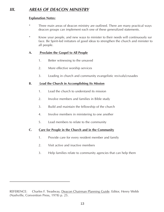# **III. AREAS OF DEACON MINISTRY**

# **Explanation Notes:**

- \* Three main areas of deacon ministry are outlined. There are many practical ways deacon groups can implement each one of these generalized statements.
- \* Know your people, and new ways to minister to their needs will continuously sur face. Be Spirit-led initiators of good ideas to strengthen the church and minister to all people.

# **A. Proclaim the Gospel to All People**

- 1. Better witnessing to the unsaved
- 2. More effective worship services
- 3. Leading in church and community evangelistic revivals/crusades

# **B. Lead the Church in Accomplishing Its Mission**

- 1. Lead the church to understand its mission
- 2. Involve members and families in Bible study
- 3. Build and maintain the fellowship of the church
- 4. Involve members in ministering to one another
- 5. Lead members to relate to the community

# **C. Care for People in the Church and in the Community**

- 1. Provide care for every resident member and family
- 2. Visit active and inactive members
- 3. Help families relate to community agencies that can help them

REFERENCE: Charles F. Treadway, Deacon Chairman Planning Guide. Editor, Henry Webb (Nashville, Convention Press, 1978) p. 25.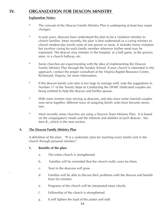# **IV. ORGANIZATION FOR DEACON MINISTRY**

## **Explanation Notes:**

- \* The concept of the Deacon Family Ministry Plan is undergoing at least four major changes:
- \* In past years, deacons have understood the plan to be a visitation ministry to church families. More recently, the plan is best understood as a caring ministry to church modern-day family units of one person or more. It includes home visitation but involves caring for each family member wherever his/her need may be expressed. The deacon may minister in the hospital, at a ball game, in the grocery store, in a church hallway, etc.
- \* Some churches are experimenting with the idea of implementing the Deacon Family Ministry Plan through the Sunday School. If your church is interested in this approach, contact the proper consultant at the Virginia Baptist Resource Center, Richmond, Virginia, for more information.
- \* If the deacon-family unit ratio is too large to manage well, note the suggestions in Number 17 of the Twenty Steps to Conducting the DFMP. Dedicated couples are being enlisted to help the deacon and his/her spouse.
- \* With more women now serving as deacons, and also since some married couples now serve together, different ways of assigning family units have become necessary.
- \* More recently some churches are using a Deacon Team Ministry Plan. It is based on the congregaton's needs and the interests and abilities of each deacon. See item B., which is the next section.

# **A. The Deacon Family Ministry Plan**

A definition of the plan: "It is a systematic plan for reaching every family unit in the church through personal ministry."

# **1. Benefits of the plan:**

- a. The entire church is strengthened.
- b. Families will be reminded that the church really cares for them.
- c. Trust in the deacons will grow
- . d. Families will be able to discuss their problems with the deacon and benefit from his ministry.
- e. Programs of the church will be interpreted more clearly.
- f. Fellowship of the church is strengthened.
- g. It will lighten the load of the pastor and staff.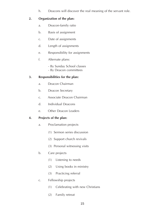h. Deacons will discover the real meaning of the servant role.

# **2. Organization of the plan:**

- a. Deacon-family ratio
- b. Basis of assignment
- c. Date of assignments
- d. Length of assignments
- e. Responsibility for assignments
- f. Alternate plans:
	- By Sunday School classes
	- By Deacon committees

# **3. Responsibilities for the plan:**

- a. Deacon Chairman
- b. Deacon Secretary
- c. Associate Deacon Chairman
- d. Individual Deacons
- e. Other Deacon Leaders

# **4. Projects of the plan:**

- a. Proclamation projects
	- (1) Sermon series discussion
	- (2) Support church revivals
	- (3) Personal witnessing visits

# b. Care projects

- (1) Listening to needs
- (2) Using books in ministry
- (3) Practicing referral
- c. Fellowship projects
	- (1) Celebrating with new Christians
	- (2) Family retreat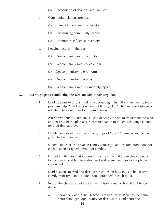- (3) Recognition of deacons and families
- d. Community relations projects
	- (1) Influencing community decisions
	- (2) Recognizing community leaders
	- (3) Community influence inventory
- e. Keeping records in the plan:
	- (1) Deacon family information form
	- (2) Deacon family ministry calendar
	- (3) Deacon ministry referral form
	- (4) Deacon ministry prayer list
	- (5) Deacon family ministry monthly report

# **5. Twenty Steps to Conducting the Deacon Family Ministry Plan**

- 1. Lead deacons to discuss and pray about beginning DFMP. Secure copies of program help, "The Deacon Family Ministry Plan." They may be ordered on undated literature order form from Lifeway.
- 2. After prayer and discussion, (1) lead deacons to vote to implement the plan, and (2) present the plan as a recommendation to the church congregation for their final approval.
- 3. Divide families of the church into groups of 10 to 15 families and assign a group to each deacon.
- 4. Secure copies of The Deacon Family Ministry Plan Resource Book, one for each deacon assigned a group of families.
- 5. Fill out family information form for each family and the twelve calendar forms. Use available information and add reference notes as the plan is conducted.
- 6. Lead deacons to read and discuss directions on how to use The Deacon Family Ministry Plan Resource Book, provided in each book.
- 7. Inform the church about the family ministry plan and how it will be conducted.
	- a. Show the video, "The Deacon Family Ministry Plan," to the entire church and give opportunity for discussion. Lead church to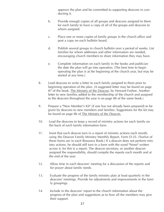approve the plan and be committed to supporting deacons in conducting it.

- b. Provide enough copies of all groups and deacons assigned to them for each family to have a copy of all of the groups and deacons to whom assigned.
- c. Place one or more copies of family groups in the church office and post a copy on each bulletin board.
- d. Publish several groups in church bulletin over a period of weeks. List families for whom addresses and other information are needed, encouraging church members to share information they may have.
- e. Complete information on each family in the books and publicize the date the plan will go into operation. (The best time to begin operating the plan is at the beginning of the church year, but may be started at any time.)
- 8. Lead deacons to write a letter to each family assigned to them prior to beginning operation of the plan. (A suggested letter may be found on page 87 of the book. The Ministry of the Deacon, by Howard Foshee. Another letter to new families added to the membership of the church and assigned to the deacons throughout the year is on page 88 of the same book.)
- 9. Prepare a "New Member's Kit" (if one has not already been prepared) to be given by deacons to new members and families. Suggestions for the kit may be found on page 86 of The Ministry of the Deacon.
- 10. Lead the deacons to keep a record of ministry actions for each family on the back of each family information form.
- 11. Insist that each deacon turn in a report of ministry actions each month, using the Deacon Family Ministry Monthly Report, Form D-35. (Twelve of these forms are in each Resource Book.) If a deacon does not perform ministry actions, he should still turn in a form with the word "None" written across it, for this is a report. The deacon secretary, or another deacon assigned the responsibility, should compile the reports each month and at the end of the year.
- 12. Allow time in each deacons' meeting for a discussion of the reports and for prayer about family needs.
- 13. Evaluate the progress of the family ministry plan at least quarterly in the deacons' meetings. Provide for adjustments and improvements in the family groupings.
- 14. Include in the deacons' report to the church information about the progress of the plan and suggestions as to how all the members may give their support.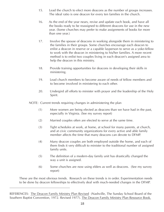- 15. Lead the church to elect more deacons as the number of groups increases. The ideal ratio is one deacon for every ten families in the church.
- 16. As the end of the year nears, revise and update each book, and have all the books ready to be reassigned to different deacons for use in the new year. (Some churches may prefer to make assignments of books for more than one year.)
- 17. Involve the spouse of deacons in working alongside them in ministering to the families in their groups. Some churches encourage each deacon to enlist a deacon in reserve or a capable layperson to serve as a yoke-fellow to work with the deacon in ministering to his/her families. A more recent method is to enlist two couples living in each deacon's assigned area to help the deacon in this ministry.
- 18. Provide training opportunities for deacons in developing their skills in ministering.
- 19. Lead church members to become aware of needs of fellow members and to become involved in ministering to each other.
- 20. Undergird all efforts to minister with prayer and the leadership of the Holy Spirit.

NOTE: Current trends requiring changes in administering the plan

- (1) More women are being elected as deacons than we have had in the past, especially in Virginia. (See my survey report)
- (2) Married couples often are elected to serve at the same time.
- (3) Tight schedules at work, at home, at school for many parents, at church, and at civic community organizations for every active and able family member affects the time that many deacons can devote to DFMP.
- (4) Many deacon couples are both employed outside the home, and each of them finds it very difficult to minister to the traditional number of assigned family units.
- (5) The definition of a modern-day family unit has drastically changed the way a unit is assigned.
- (6) Some churches are now using elders as well as deacons. (See my survey report)

These are the most obvious trends. Research on these trends is in order. Experimentation needs to be done by deacon fellowships to effectively deal with much-needed changes in the DFMP.

REFERENCES: The Deacon Family Ministry Plan Revised (Nashville, The Sunday School Board of the Southern Baptist Convention, 1972. Revised 1977). The Deacon Family Ministry Plan Resource Book.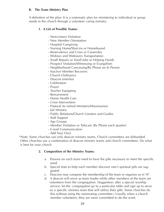#### **B. The Team Ministry Plan**

A definition of the plan: It is a systematic plan for ministering to individual or group needs in the church through a volunteer caring ministry.

# **1. A List of Possible Teams:**

- Newcomers Visitation
- New Member Orientation
- Hospital Caregiving
- Nursing Home/Shut-ins or Homebound
- Benevolence and Crisis or Casseroles
- Widows and Widowers Transportation
- Small Repairs or Small Jobs or Helping Hands
- Prospect Visitation/Witnessing or Evangelism
- Neighborhood Canvassing/By Phone on In Person
- Inactive Member Recovery
- Church Ordinance
- Deacon emeritus
- Celebration
- Prayer
- Teacher Equipping
- Bereavement
- Home Health Care
- Crisis Intervention
- Pastoral (to retired Ministers/Missionaries)
- Jail Ministry
- Public Relations/Church Greeters and Guides
- Staff Support
- Age Groups
- Member Visitation or Telecare (By Phone each quarter)
- E-mail Communication
- Add Your Own

\*Note: Some churches use only deacon ministry teams. Church committees are disbanded. Other churches use a combination of deacon ministry teams and church committees. Do what is best for your church.

# **2. Composition of the Ministry Teams:**

- a. Persons on each team need to have the gifts necessary to meet the specific need.
- b. Special tests to help each member discover one's spiritual gifts are suggested.
- c. Deacons may compose the membership of the team or organize as in "d".
- d. A deacon will serve as team leader while other members of the team are volunteers from the congregation. (Suggestion: after a special worship service, let the congregation go to a particular table and sign up to serve on a specific ministry team that will utilize their gifts. Some churches do this without using the nominating committee.) Usually when a church member volunteers, they are more committed to do the work.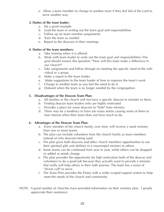e. Allow a team member to change to another team if they feel led of the Lord to serve another way.

# **3. Duties of the team leader:**

- a. Set a good example
- b. Lead the team in writing out the team goal and responsibilities
- c. Follow up on team member assignments
- d. Train the team as needed
- e. Report to the deacons in their meetings

# **4. Duties of the team members:**

- a. Take training when it is offered.
- b. Work with team leader to write out the team goal and responsibilities (The goal should answer this question: "How will this team make a difference in our church?"
- c. Take assignments and follow through on meeting the specific need of the individual or a group.
- d. Make a report to the team leader.
- e. Make suggestions to the team leader of how to improve the team's work
- f. Change to another team as you feel the need to do it.
- g. Disband when the team is no longer needed by the congregation.

# **5. Disadvantages of the Deacon Team Plan:**

- a. All families in the church will not have a specific deacon to minister to them,
- b. Finding deacon team leaders who are highly motivated
- c. Provides a place for some deacons to "hide" from ministry.
- d. There may be a tendency to have too many teams causing some of them to lose interest when their team does not have much to do.

# **6. Advantages of the Deacon Team Plan:**

- a. Every member of the church family, over time, will receive a need ministry from one or more teams.
- b. The plan can include volunteers from the church family as team members instead of only deacons being used.
- c. The plan gives both deacons and other church members opportunities to use their spiritual gifts and abilities in a meaningful ministry to others.
- d. Some teams can be continued from year to year, while others can be dropped or added as needs change.
- e. The plan provides the opportunity for high motivation both of the deacon and volunteers to do a good job because they actually want to provide a ministry that really will help others in their faith journey. The team has a sense of "divine call" to serve.
- f. The Team Plan provides the Pastor with a wider scoped support system to help meet the needs of the church and community.
- NOTE: A good number of churches have provided information on their ministry plan. I greatly appreciate their assistance.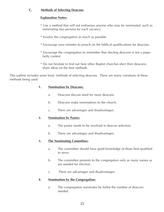# **C. Methods of Selecting Deacons**

# **Explanation Notes:**

- \* Use a method that will not embarrass anyone who may be nominated, such as nominating two persons for each vacancy.
- \* Involve the congregation as much as possible.
- \* Encourage your minister to preach on the biblical qualifications for deacons.
- \* Encourage the congregation to remember that electing deacons is not a popularity contest.
- \* Do not hesitate to find out how other Baptist churches elect their deacons; share ideas on the best methods.

This outline includes some basic methods of selecting deacons. There are many variations of these methods being used.

### **1. Nomination bv Deacons:**

- a. Deacons discuss need for more deacons.
- b. Deacons make nominations to the church.
- c. There are advantages and disadvantages.

# **2. Nomination bv Pastor:**

- a. The pastor needs to be involved in deacon selection.
- b. There are advantages and disadvantages.

# **3. The Nominating Committee:**

- a. The committee should have good knowledge of those best qualified to serve.
- b. The committee presents to the congregation only as many names as are needed for election.
- c. There are advantages and disadvantages.

#### **4. Nomination by the Congregation:**

a. The congregation nominates by ballot the number of deacons needed.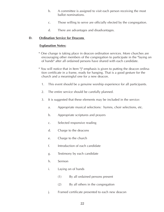- b. A committee is assigned to visit each person receiving the most ballot nominations.
- c. Those willing to serve are officially elected by the congregation.
- d. There are advantages and disadvantages.

# **D. Ordination Service for Deacons**

# **Explanation Notes:**

- \* One change is taking place in deacon ordination services. More churches are encouraging other members of the congregation to participate in the "laying on of hands" after all ordained persons have shared with each candidate.
- \* You will notice that in Item "j" emphasis is given to putting the deacon ordination certificate in a frame, ready for hanging. That is a good gesture for the church and a meaningful one for a new deacon.
	- 1. This event should be a genuine worship experience for all participants.
	- 2. The entire service should be carefully planned.
	- 3. It is suggested that these elements may be included in the service:
		- a. Appropriate musical selections: hymns, choir selections, etc.
		- b. Appropriate scriptures and prayers
		- c. Selected responsive reading
		- d. Charge to the deacons
		- e. Charge to the church
		- f. Introduction of each candidate
		- g. Testimony by each candidate
		- h. Sermon
		- i. Laying on of hands
			- (1) By all ordained persons present
			- (2) By all others in the congregation
		- j. Framed certificate presented to each new deacon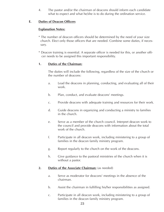4. The pastor and/or the chairman of deacons should inform each candidate what to expect and what he/she is to do during the ordination service.

# **E. Duties of Deacon Officers**

## **Explanation Notes:**

- \* The number of deacon officers should be determined by the need of your size church. Elect only those officers that are needed. Combine some duties, if necessary.
- \* Deacon training is essential. A separate officer is needed for this, or another officer needs to be assigned this important responsibility.

### **1. Duties of the Chairman:**

The duties will include the following, regardless of the size of the church or the number of deacons:

- a. Lead the deacons in planning, conducting, and evaluating all of their work.
- b. Plan, conduct, and evaluate deacons' meetings.
- c. Provide deacons with adequate training and resources for their work.
- d. Guide deacons in organizing and conducting a ministry to families in the church.
- e. Serve as a member of the church council. Interpret deacon work to the council and provide deacons with information about the total work of the church.
- f. Participate in all deacon work, including ministering to a group of families in the deacon family ministry program.
- g. Report regularly to the church on the work of the deacons.
- h. Give guidance to the pastoral ministries of the church when it is without a pastor.

#### **2. Duties of the Associate Chairman:** (as needed)

- a. Serve as moderator for deacons' meetings in the absence of the chairman.
- b. Assist the chairman in fulfilling his/her responsibilities as assigned.
- c. Participate in all deacon work, including ministering to a group of families in the deacon family ministry program.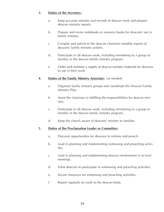## **3. Duties of the Secretary:**

- a. Keep accurate minutes and records of deacon work and prepare deacon ministry reports.
- b. Prepare and revise notebooks or resource books for deacons' use in family ministry.
- c. Compile and submit to the deacon chairman monthly reports of deacons' family ministry actions.
- d. Participate in all deacon work, including ministering to a group of families in the deacon family ministry program.
- e. Order and maintain a supply of deacon ministry materials for deacons to use in their work.

# **4. Duties of the Family Ministry Associate:** (as needed)

- a. Organize family ministry groups and coordinate the Deacon Family Ministry Plan.
- b. Assist the chairman in fulfilling the responsibilities for deacon ministry.
- c. Participate in all deacon work, including ministering to a group of families in the deacon family ministry program.
- d. Keep the church aware of deacons' ministry to families.

#### **5. Duties of the Proclamation Leader or Committee:**

- a. Discover opportunities for deacons to witness and preach.
- b. Lead in planning and implementing witnessing and preaching activities.
- c. Lead in planning and implementing deacon involvement in re vival meetings.
- d. Enlist deacons to participate in witnessing and preaching activities.
- e. Secure resources for witnessing and preaching activities.
- f. Report regularly on work to the deacon body.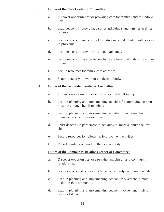#### **6. Duties of the Care Leader or Committee:**

- a. Discover opportunities for providing care for families and for individuals.
- b. Lead deacons in providing care for individuals and families in times of crisis.
- c. Lead deacons to give counsel to individuals and families with specific problems.
- d. Lead deacons to provide vocational guidance.
- e. Lead deacons to provide benevolent care for individuals and families in need.
- f. Secure resources for family care activities.
- g. Report regularly on work to the deacon body.

### **7. Duties of the Fellowship Leader or Committee:**

- a. Discover opportunities for improving church fellowship.
- b. Lead in planning and implementing activities for improving communication among church members.
- c. Lead in planning and implementing activities to increase church members' concern for discipline.
- d. Enlist deacons to participate in activities to improve church fellowship.
- e. Secure resources for fellowship improvement activities.
- f. Report regularly on work to the deacon body.

# **8. Duties of the Community Relations Leader or Committee**:

- a. Discover opportunities for strengthening church and community relationship.
- b. Lead deacons and other church leaders to study community needs.
- c. Lead in planning and implementing deacon involvement in moral action in the community.
- d. Lead in planning and implementing deacon involvement in civic responsibilities.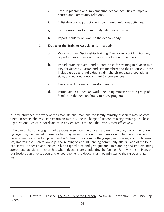- e. Lead in planning and implementing deacon activities to improve church and community relations.
- f. Enlist deacons to participate in community relations activities.
- g. Secure resources for community relations activities.
- h. Report regularly on work to the deacon body.

# **9. Duties of the Training Associate:** (as needed)

- a. Work with the Discipleship Training Director in providing training opportunities in deacon ministry for all church members.
- b. Provide training events and opportunities for training in deacon ministry for deacons, pastor, and staff members and their spouses. These include group and individual study; church retreats; associational, state, and national deacon ministry conferences.
- c. Keep record of deacon ministry training.
- d. Participate in all deacon work, including ministering to a group of families in the deacon family ministry program.

In some churches, the work of the associate chairman and the family ministry associate may be combined. In others, the associate chairman may also be in charge of deacon ministry training. The best organizational structure for deacons in any church is the one that works most effectively.

If the church has a large group of deacons in service, the officers shown in the diagram on the following page may be needed. These leaders may serve on a continuing basis or only temporarily when there is need for added emphasis and activities in proclaiming the gospel, ministering to church families, improving church fellowship, and relating to and influencing community affairs. Each of the four leaders will be sensitive to needs in his assigned area and give guidance in planning and implementing appropriate activities. In churches where deacons are conducting the Deacon Family Ministry Plan, the four leaders can give support and encouragement to deacons as they minister to their groups of families.

REFERENCE: Howard B. Foshee, The Ministry of the Deacon. (Nashville, Convention Press, 1968) pp. 95-99.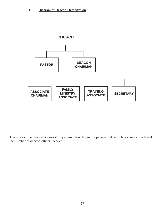# **F. Diagram of Deacon Organization**



This is a sample deacon organization pattern. You design the pattern that best fits yor size church and the number of deacon officers needed.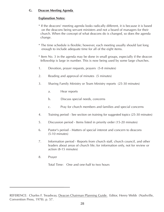# **G. Deacon Meeting Agenda**

# **Explanation Notes:**

- \* If the deacons' meeting agenda looks radically different, it is because it is based on the deacons being servant ministers and not a board of managers for their church. When the concept of what deacons do is changed, so does the agenda change.
- \* The time schedule is flexible; however, each meeting usually should last long enough to include adequate time for all of the eight items.
- \* Item No. 3 in the agenda may be done in small groups, especially if the deacon fellowship is large in number. This is now being used by some large churches.
- 1. Devotion, prayer requests, prayers (5-8 minutes)
- 2. Reading and approval of minutes (5 minutes)
- 3. Sharing Family Ministry or Team Ministry reports (25-30 minutes)
	- a. Hear reports
	- b. Discuss special needs, concerns
	- c. Pray for church members and families and special concerns
- 4. Training period See section on training for suggested topics (25-30 minutes)
- 5. Discussion period Items listed in priority order (15-20 minutes)
- 6. Pastor's period Matters of special interest and concern to deacons (5-10 minutes)
- 7. Information period Reports from church staff, church council, and other leaders about areas of church life; for information only, not for review or action (8-15 minutes)
- 8. Prayer

Total Time: One and one-half to two hours

REFERENCE: Charles F. Treadway, Deacon Chairman Planning Guide. Editor, Henry Webb (Nashville, Convention Press, 1978). p. 57.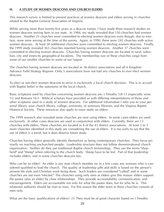# **H. A STUDY OF WOMEN DEACONS AND CHURCH ELDERS**

This research survey is limited to present practices of women deacons and elders serving in churches related to the Baptist General Association of Virginia.

While serving more than twenty-five years as a deacon trainer, I have made three research studies on women deacons serving here in our state. In 1984, my study revealed that 150 churches had women deacons. Another 25 churches were committed to electing women deacons even though, due to rotation, none were serving at the time of the survey. Again, in 1990, there were 242 churches with active women deacons. At least 38 additional churches were committed to electing women deacons. Finally, the 1999 study revealed 363 churches reported having women deacons. Another 37 churches were committed to electing woman deacons. Churches having women deacons are located in rural, suburban, city and innercity geographical locations. The membership size of these churches range from some of our smaller churches to some of our largest.

The churches having women deacons are located in 38 district associations and all 6 Kingdom Advance Field Strategy Regions. Only 5 associations have not had any churches to ever elect women deacons.

To elect or not elect women deacons to serve is exclusively a local church decision. This is in accord with Baptist belief in the autonomy of the local church.

Basic scriptures used by churches concerning women deacons are; I Timothy 3:8-13 (especially verse 11) and Romans 16:1. Biblical scholars have provided us with differing interpretations of these and other scriptures used in a study of women deacons. For additional information I refer you to your personal library, your church library, college, university, or seminary libraries, and the Virginia Baptist Historical Society. These resources also apply to more study on elders.

The 1999 research also revealed some churches are now using elders. In some cases elders are used exclusively. In other cases deacons are used in conjunction with elders. Currently, there are 13 churches with elders. These churches are located in 8 of the 43 district associations. At least 3 to 5 more churches identified in this study are considering the use of elders. It is too early to say that the use of elders is a trend, but it does deserve future study.

Churches having elders generally identify themselves as being contemporary churches. They focus primarily on reaching unchurched people. Leadership structure does not follow denominational church organization. Neither do they use traditional Baptist church terminology. They use the terms "shepherd" and "sheep" when referring to the church body. Sheep have to be led. Part of that leadership includes elders, and in some churches deacons too.

Who can be an elder? An elder is any man church member (or in a few cases any woman) who is considered qualified to lead the church. The quality of leadership gifts and skills is based on the person's present life style and Christian work being done. Such leaders are considered "called" and in some churches are not even "elected." The churches using only men as elders give this reason: elders support the pastor (also an elder) by close relationships. They provide accountability, communication, and encouragement. Elders are accountable not only for what the pastor does, but for who he is. This relational authority should be man to man. For this reason the elder team in these churches consists of men only.

What are the basic qualifications of elders? (1) They must be of good character based on I Timothy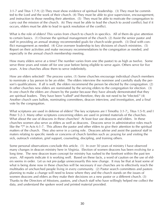3:1-7 and Titus 1:7-9; (2) They must show evidence of spiritual leadership. (3) They must be committed to the Lord and the work of their church. (4) They must be able to give supervision, encouragement, and instruction to those needing their attention. (5) They must be able to motivate the congregation to carry out the mission of the church. (6) They must be able to lead the church to avoid conflict; but if it occurs, elders must be able to lead in quick resolution of the conflict.

What is the role of elders? This varies from church to church in specifics. All of them do give attention to certain basics. (1) Oversee the spiritual management of the church. (2) Assist the senior pastor and staff in providing an annual strategy recommended goals for church-wide growth. (3) Deal with conflict management as needed. (4) Give overseer leadership to key divisions of church ministries. (5) Report on their activities and make necessary recommendations to the congregation as needed, and especially in the annual church membership meeting.

How many elders serve at a time? The number varies from one (the pastor) to as high as twelve. Some serve three years and rotate off for one year before being eligible to serve again. Others serve for five years. A few churches allow them to serve indefinitely.

How are elders selected? The process varies. (1) Some churches encourage individual church members to nominate a lay person to be an elder. The elders interview the nominee and carefully study the person's qualifications. If all is well, the elders recommend the person be elected by the congregation. (2) In other churches new elders are nominated by the serving elders to the congregation for election. (3) In one church the elders are chosen by the pastor because they have already demonstrated that they are spiritual leaders. They have been "called" and therefore, they do not need to be "elected." (4) Another church uses ballots, nominating committees, deacon interview, and investigation, and a final vote by the congregation.

What scriptures are used in defense of elders? The key scriptures are I Timothy 3:1-7;, Titus 1:5-9; and I Peter 5:2-3. Many other scriptures concerning elders are used in printed materials of the churches. What about the use of deacons in these churches? At least four use deacons and elders. In these churches women also serve as elders as well as deacons. Deacons serve in administrative roles much like the "7" in Acts 6:1-7. This allows the pastor and other elders to give their attention to the spiritual matters of the church. They also serve in a caring role. Deacons advise and assist the pastoral staff in maters relating to specific needs or concerns of church families such as: praying for and visiting the sick, outreach visitation, grief support, counseling, discipling, and training others.

Some personal observations conclude this article. (1) In over 50 years of ministry I have observed many changes in deacon ministry here in Virginia. Election of women deacons has been evolving for a long time. The new deacon team concept for ministry has rushed to the forefront within the past ten years. All reports indicate it is working well. Based on these facts, a word of caution on the use of elders seems in order. Let us not pre-judge unnecessarily this new change. It may be that at least some of what is being done now in these churches will be necessary if our churches are to effectively reach the multitudes of unchurched people living in every community. (2) Pastor search committees and pastors planning to make a change will need to know where they and the church stands on the issues of women deacons and elders as they make their decisions on a new pastor or a different church. (3) Thanks to the Directors of Missions, pastors, and church staff who have willingly helped me collect the data, and understand the spoken word and printed material provided.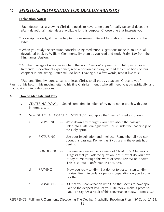# **V. SPIRITUAL PREPARATION FOR DEACON MINISTRY**

# **Explanation Notes:**

- \* Each deacon, as a growing Christian, needs to have some plan for daily personal devotions. Many devotional materials are available for this purpose. Choose one that interests you.
- \* For scripture study, it may be helpful to use several different translations or versions of the Bible.
- \* When you study the scripture, consider using meditation suggestions made in an unusual devotional book by William Clemmons. Try them as you read and study Psalm 139 from the King James Version.
- \* Another passage of scripture in which the word "deacon" appears is in Philippians. For a tremendous devotional experience, read a portion each day, or read the entire book of four chapters in one sitting. Better still, do both. Leaving out a few words, read it like this:

"Paul and Timothy, bondservants of Jesus Christ, to all the . . . deacons; Grace to you" Paul is at his best in this moving letter to his fine Christian friends who still need to grow spiritually, and that obviously includes deacons.

### **A. How to Meditate and Pray**

- 1. CENTERING DOWN -- Spend some time in "silence" trying to get in touch with your innermost self.
- 2. Now, SELECT A PASSAGE OF SCRIPTURE and apply the "five Ps" listed as follows:
	- a. PREPARING -- Write down any thoughts you have about the passage. Enter into a vital dialogue with Christ under the leadership of the Holy Spirit.
	- b. PICTURING -- Use your imagination and intellect. Remember all you can about this passage. Relive it as if you are in the events happening.
	- c. PONDERING -- Imagine you are in the presence of Christ. Dr. Clemmons suggests that you ask the question, "Jesus, what do you have to say to me through this word of scripture?" Write it down. This is spiritual confrontation at its best.
	- d. PRAYING -- Now you reply to Him. But do not forget to listen to Him! Praise Him. Intercede for persons depending on you to pray for them.
	- e. PROMISING -- Out of your conversation with God that seems to have spoken to the deepest level of your life today, make a promise. You can say, "As a result of this conversation today, I promise ..."

REFERENCE: William P. Clemmons, Discovering The Depths. (Nashville, Broadman Press, 1976), pp. 27-28.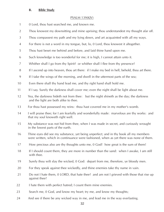#### **B. Bible Study**

#### PSALM 139(KJV)

- 1 0 Lord, thou hast searched me, and known me.
- 2 Thou knowest my downsitting and mine uprising; thou understandest my thought afar off.
- 3 Thou compassest my path and my lying down, and art acquainted with all my ways.
- 4 For there is not a word in my tongue, but, lo, 0 Lord, thou knowest it altogether.
- 5 Thou hast beset me behind and before, and laid thine hand upon me.
- 6 Such knowledge is too wonderful for me; it is high, I cannot attain unto it.
- 7 Whither shall I go from thy Spirit? or whither shall I flee from thy presence?
- 8 If I ascend up into heaven, thou art there: if I make my bed in hell, behold, thou art there.
- 9 If I take the wings of the morning, and dwell in the uttermost parts of the sea;
- 10 Even there shall thy hand lead me, and thy right hand shall hold me.
- 11 If I say. Surely the darkness shall cover me; even the night shall be light about me.
- 12 Yea, the darkness hideth not from thee: but the night shineth as the day; the darkness and the light are both alike to thee.
- 13 For thou hast possessed my reins: thou hast covered me in my mother's womb.
- 14 I will praise thee; for I am fearfully and wonderfully made: marvelous are thy works: and that my soul knoweth right well.
- 15 My substance was not hid from thee, when I was made in secret, and curiously wrought in the lowest parts of the earth.
- 16 Thine eyes did see my substance, yet being unperfect; and in thy book all my members were written, which in continuance were fashioned, when as yet there was none of them.
- 17 How precious also are thy thoughts unto me, 0 God! how great is the sum of them!
- 18 If I should count them, they are more in number than the sand: when I awake, I am still with thee.
- 19 Surely thou wilt slay the wicked, 0 God: depart from me, therefore, ye bloody men.
- 20 For they speak against thee wickedly, and thine enemies take thy name in vain.
- 21 Do not I hate them, 0 LORD, that hate thee? and am not I grieved with those that rise up against thee?
- 22 I hate them with perfect hatred; I count them mine enemies.
- 23 Search me, 0 God, and know my heart; try me, and know my thoughts;
- 24 And see if there be any wicked way in me, and lead me in the way everlasting.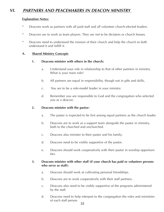# **VI. PARTNERS AND PEACEMAKERS IN DEACON MINISTRY**

#### **Explanation Notes:**

- \* Deacons work as partners with all paid staff and all volunteer church-elected leaders.
- \* Deacons are to work as team players. They are not to be dictators or church bosses.
- \* Deacons need to understand the mission of their church and help the church to both understand it and fulfill it.

#### **A. Shared Ministry Concepts**

#### **1. Deacons minister with others in the church:**

- a. Understand your role in relationship to that of other partners in ministry. What is your main role?
- b. All partners are equal in responsibility, though not in gifts and skills,
- c. You are to be a role-model leader in your ministry.
- d. Remember you are responsible to God and the congregation who selected you as a deacon.

#### **2. Deacons minister with the pastor:**

- a. The pastor is expected to be first among equal partners as the church leader.
- b. Deacons are to work as a support team alongside the pastor in ministry, both to the churched and unchurched.
- c. Deacons also minister to their pastor and his family,
- d. Deacons need to be visibly supportive of the pastor.
- e. Deacons should work cooperatively with their pastor in worship opportunities.

### **3. Deacons minister with other staff (if your church has paid or volunteer persons who serve as staff):**

- a. Deacons should work at cultivating personal friendships.
- b. Deacons are to work cooperatively with their staff partners.
- c. Deacons also need to be visibly supportive of the programs administered by the staff.
- d. Deacons need to help interpret to the congregation the roles and ministries of each staff person.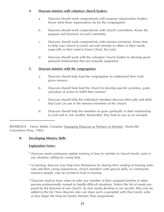# **4. Deacons minister with volunteer church leaders:**

- a. Deacons should work cooperatively with program organization leaders. Know what these organizations do for the congregation.
- b. Deacons should work cooperatively with church committees. Know the purpose and functions of each committee.
- c. Deacons should work cooperatively with mission ministries. Know how to help your church to reach out and minister to others in their needs, especially in their need to know Christ, the Lord.
- d. Deacons should work with the volunteer church leaders to develop good personal relationships that are mutually supportive.

# **5. Deacons minister with the congregation:**

- a. Deacons should help lead the congregation to understand their Godgiven mission.
- b. Deacons should help lead the church to develop specific priorities, goals, and plans of action to fulfill their mission.
- c. Deacons should help the individual members discover their gifts and skills that God can use in the mission ministries of the church.
- d. Deacons should help the members to grow spiritually in their relationship to God and to one another. Remember, they look to you as an example.

REFERENCE: Henry Webb, Compiler, Equipping Deacons as Partners in Ministry. (Nashville, Convention Press, 1985).

# **B. Developing Ministry Skills**

# **Explanation Notes:**

- \* Deacons need continuous update training in how to minister to church family units in any situation calling for caring help.
- \* In training, deacons may help train themselves by sharing their reading of training materials and their caring experiences; church members with special skills, or community resource people, may be invited to lead in training.
- \* Deacons need to learn when to refer any member of their assigned families to other persons professionally trained to handle difficult situations. Notice the list of needs prepared by the deacons of one church. As new needs develop in our society, they may be added to the list. New deacons also can share such a pamphlet with their family units as they begin the Deacon Family Ministry Plan assignments.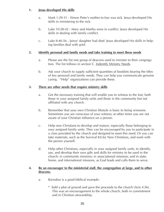# **1. Jesus developed His skills**

- a. Mark 1:29-31 Simon Peter's mother-in-law was sick. Jesus developed His skills in ministering to the sick.
- b. Luke 10:38-42 Mary and Martha were in conflict. Jesus developed His skills in dealing with family conflict.
- c. Luke 8:40-56 Jairus' daughter had died. Jesus developed His skills in helping families deal with grief.

# **2. Identify personal and family needs and take training to meet these needs**

- a. Please see the list one group of deacons used to minister to their congrega tion. The list follows in section C. Indentify Ministry Needs.
- b. Ask your church to supply sufficient quantities of booklets bearing the titles of key personal and family needs. They can help you communicate genuine caring. "Help" organizations can provide these.

# **3. There are other needs that require ministry skills**

- a. Get the necessary training that will enable you to witness to the lost, both those in your assigned family units and those in the community but not affiliated with any church.
- b. Remember that your own Christian lifestyle is basic to being winsome. Sometimes you are conscious of your witness; at other times you are not aware of your Christian influence on a person.
- c. Help new Christians to develop and mature, especially those belonging to your assigned family units. They can be encouraged by you to participate in a class provided by the church and designed to meet this need. Or you can take materials, such as the Survival Kit for New Christians, and work with the person yourself.
- d. Help other Christians, especially in your assigned family units, to identify, use, and develop their own gifts and skills for ministry to be used in the church; in community missions; in associational missions; and in state, home, and international missions, as God leads and calls them to serve.

# **4. Be an encourager to the ministerial staff, the congregation at large, and to other deacons.**

- a. Barnabas is a good biblical example:
	- \* Sold a plot of ground and gave the proceeds to the church (Acts 4:36). This was an encouragement to the whole church, both in commitment and in Christian stewardship.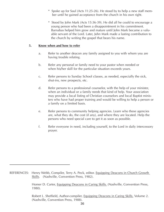- \* Spoke up for Saul (Acts 11:25-26). He stood by to help a new staff member until he gained acceptance from the church in his own right.
- \* Stood by John Mark (Acts 15:36-39). He did all he could to encourage a young person who had been a disappointment in his commitment. Barnabas helped him grow and mature until John Mark became a valuable servant of the Lord. Later, John Mark made a lasting contribution to the church by writing the gospel that bears his name.

### **5. Know when and how to refer**

- a. Refer to another deacon any family assigned to you with whom you are having trouble relating.
- b. Refer any personal or family need to your pastor when needed or when his/her skill for the particular situation exceeds yours.
- c. Refer persons to Sunday School classes, as needed, especially the sick, shut-ins, new prospects, etc.
- d. Refer persons to a professional counselor, with the help of your minister, when an individual or a family needs that kind of help. Your association may provide a local listing of Christian counselors and local Baptist ministers who have had proper training and would be willing to help a person or a family on a limited basis.
- e. Refer persons to community helping agencies. Learn who these agencies are, what they do, the cost (if any), and where they are located. Help the persons who need special care to get it as soon as possible.
- f. Refer everyone in need, including yourself, to the Lord in daily intercessory prayer.

REFERENCES: Henry Webb, Compiler, Terry A. Peck, editor. Equipping Deacons in Church Growth Skills. (Nashville, Convention Press, 1982).

Robert L. Sheffield, Author-compiler, Equipping Deacons in Caring Skills. Volume 2. (Nashville, Convention Press, 1988).

Homer D. Carter, Equipping Deacons in Caring Skills. (Nashville, Convention Press, 1980).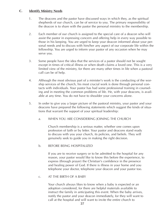# **C. Identify Ministry Needs**

- 1. The deacons and the pastor have discussed ways in which they, as the spiritual shepherds of our church, can be of service to you. The primary responsibility of the deacon is to share with the pastor the personal ministry to the membership.
- 2. Each member of our church is assigned to the special care of a deacon who will assist the pastor in expressing concern and offering help in every way possible to those in his keeping. You are urged to keep your deacon informed about your personal needs and to discuss with him/her any aspect of our corporate life within the fellowship. You are urged to inform your pastor of any occasion when he may serve you.
- 3. Some people have the idea that the services of a pastor should not be sought except in times of critical illness or when death claims a loved one. This is a very limited view of the ministry, for there are many other times in life when a pastoral call can be of help.
- 4. Although the most obvious part of a minister's work is the conducting of the worship services of the church, his most crucial work is done through personal contacts with individuals. Your pastor has had some professional training in counseling and in meeting the common problems of life. He, with your deacons, is available at any time. You do not have to shoulder your concerns alone.
- 5. In order to give you a larger picture of the pastoral ministry, your pastor and your deacons have prepared the following statements which suggest the kinds of situations that warrant the support of your spiritual leadership:
	- a. WHEN YOU ARE CONSIDERING JOINING THE CHURCH

Church membership is a serious matter, whether one comes upon profession of faith or by letter. Your pastor and deacons stand ready to discuss with you your church, its policies, and beliefs. They will genuinely seek to guide you in making the right decision.

#### b. BEFORE BEING HOSPITALIZED

If you are to receive surgery or to be admitted to the hospital for any reason, your pastor would like to know this before the experience, to express (through prayer) the Christian's confidence in the presence and healing power of God. If there is illness in your home and you telephone your doctor, telephone your deacon and your pastor too.

#### c. AT THE BIRTH OF A BABY

Your church always likes to know when a baby is expected or an adoption considered, for there are helpful materials available to instruct the family in anticipating this event. When the baby arrives, notify the pastor and your deacon immediately, for they will want to call at the hospital and will want to invite the entire church to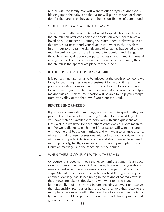rejoice with the family. We will want to offer prayers asking God's blessing upon the baby, and the pastor will plan a service of dedication for the parents as they accept the responsibilities of parenthood.

#### d. WHEN THERE IS A DEATH IN THE FAMILY

The Christian faith has a confident word to speak about death, and the church can offer considerable consolation when death takes a loved one. No matter how strong your faith, there is always pain at this time. Your pastor and your deacon will want to share with you in this hour to discuss the significance of what has happened and to read helpful passages of scripture and offer comfort and strength through prayer. Call upon your pastor to assist you in making funeral arrangements. The funeral is a worship service of the church, thus the church is the appropriate place for the funeral.

#### e. IF THERE IS A LENGTHY PERIOD OF GRIEF

It is perfectly natural for us to be grieved at the death of someone we love, for death requires a new adjustment to life and it means a temporary separation from someone we have loved. However, a prolonged time of grief is often an indication that a person needs help in making this adjustment. Your pastor will be able to help you emerge from "the valley of the shadow" if you request his aid.

#### f. BEFORE BEING MARRIED

If you are contemplating marriage, you will want to speak with your pastor about this long before setting the date for the wedding. He will have materials available to help you with such questions as: How well are we fitted for each other? What does our love mean to us? Do we really know each other? Your pastor will want to share with you helpful books on marriage and will want to arrange a series of pre-marital counseling sessions with both of you. Marriage is one of the most important decisions of life and should never be entered into impulsively, lightly, or unadvised. The appropriate place for a Christian marriage is in the sanctuary of the church.

#### g. WHEN THERE IS CONFLICT WITHIN THE FAMILY

Of course, this does not mean that every family argument is an occasion to summon the pastor! It does mean, however, that you should seek counsel when there is a serious breach in personal relationships. Marital difficulties can often be resolved through the help of another. Marriage has its beginning in the taking of sacred vows; if these vows are taken seriously, you will want to discuss your problem (in the light of these vows) before engaging a lawyer to dissolve the relationship. Your pastor has resources available that speak to the multiple occasions of conflict that are likely to arise within the family circle and is able to put you in touch with additional professional guidance, if needed.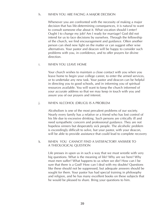#### h. WHEN YOU ARE FACING A MAJOR DECISION

Whenever you are confronted with the necessity of making a major decision that has life-determining consequences, it is natural to want to consult someone else about it. What vocation should I enter? Ought I to change my job? Am I ready for marriage? God did not intend for us to face decisions by ourselves. Through the fellowship of the church, we find encouragement and guidance. Often another person can shed new light on the matter or can suggest other wise alternatives. Your pastor and deacon will be happy to consider such problems with you, in confidence, and to offer prayers for divine direction.

#### i. WHEN YOU LEAVE HOME

Your church wishes to maintain a close contact with you when you leave home to begin your college career, to enter the armed services, or to undertake any new task. Your pastor and deacon can be helpful in directing you to good schools, and in informing you of spiritual resources available. You will want to keep the church informed of your accurate address so that we may keep in touch with you and assure you of our prayers and interest.

#### j. WHEN ALCOHOL (DRUGS) IS A PROBLEM

Alcoholism is one of the most prevalent problems of our society. Nearly every family has a relative or a friend who has lost control of his life due to excessive drinking. Such persons are critically ill and need sympathetic concern and professional guidance. They are not hopeless sinners but desperately sick people. The alcoholic problem is exceedingly difficult to solve, but your pastor, with your deacon, will be able to provide assistance that could lead to complete recovery

#### k. WHEN YOU CANNOT FIND A SATISFACTORY ANSWER TO A THEOLOGICAL QUESTION

Life presses in upon us in such a way that we must wrestle with very big questions. What is the meaning of life? Why are we here? Why must men suffer? What happens to us when we die? How can I be sure that there is a God? How can I deal with my doubts? Questions like these should not be suppressed, but adequate answers should be sought for them. Your pastor has had special training in philosophy and religion, and he has many excellent books on these subjects that he would be pleased to share. Bring your questions to him.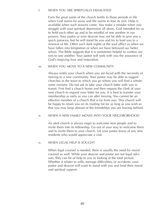#### l. WHEN YOU ARE SPIRITUALLY EXHAUSTED

Even the great saints of the church testify to those periods in life when God seems far away and life seems to lose its zest. Help is available when such seasons come. You make a mistake when you struggle with your spiritual depression all alone. God intended for us to hold each other up and to be mindful of one another in our prayers. Your pastor or your deacon may not be able to give you a quick panacea, but he will stand by you and try to lead you to a renewal of life. Often such dark nights of the soul afflict us when we have fallen into temptation or when we have betrayed our better selves. The Bible suggests that it is sometimes helpful to confess our sins to one another. Your pastor will seek with you the assurance of God's forgiving love and restoration.

#### m. WHEN YOU MOVE TO A NEW COMMUNITY

Always notify your church when you are faced with the necessity of moving to a new community. Your pastor may be able to suggest churches in the town to which you go where you will find a wholesome ministry. Do not ask to take your church letter with you in transit. First find a church home and then request the clerk of your new church to request your letter for you. It is best to transfer your membership as early as you can after moving. You cannot be an effective member of a church that is far from you. This church will be happy to retain you on its mailing list for as long as you wish so that you may keep abreast of the friendships you are leaving behind.

#### n. WHEN A NEW FAMILY MOVES INTO YOUR NEIGHBORHOOD

An alert church is always eager to welcome new people and to invite them into its fellowship. Go out of your way to welcome them and to invite them to your church. Let your pastor know of any new residents who would appreciate a visit.

#### o. WHEN LEGAL HELP IS SOUGHT

When legal counsel is needed, there is usually the need for moral counsel as well. While your deacon and pastor are not legal advisors, they can be of help to you in looking at the total picture. Whether it relates to wills, teenage difficulties, or accidents, your pastor and deacon will want to stand with you and lend their moral and spiritual support.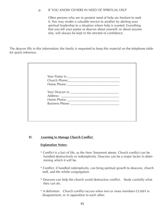#### p. IF YOU KNOW OTHERS IN NEED OF SPIRITUAL HELP

Often persons who are in greatest need of help are hesitant to seek it. You may render a valuable service to another by alerting your spiritual leadership to a situation where help is wanted. Everything that you tell your pastor or deacon about yourself, or about anyone else, will always be kept in the strictest of confidence.

The deacon fills in this information; the family is requested to keep this material on the telephone table for quick reference.

| Church Phone: 2000 |
|--------------------|
|                    |
|                    |

#### **D. Learning to Manage Church Conflict**

#### **Explanation Notes:**

- \* Conflict is a fact of life, as the New Testament attests. Church conflict can be handled destructively or redemptively. Deacons can be a major factor in determining which it will be.
- \* Conflict, if handled redemptively, can bring spiritual growth to deacons, church staff, and the whole congregation.
- \* Deacons can help the church avoid destructive conflict. Study carefully what they can do.
- \* A definition: Church conflict occurs when two or more members CLASH in disagreement, or in opposition to each other.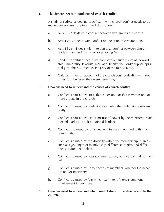# **1. The deacon needs to understand church conflict.**

A study of scriptures dealing specifically with church conflict needs to be made. Several key scriptures are list as follows:

- a. Acts 6:1-7 deals with conflict between two groups of widows.
- b. Acts 15:1-25 deals with conflict on the issue of circumcision.
- c. Acts 15:36-41 deals with interpersonal conflict between church leaders, Paul and Barnabas, over young Mark.
- d. I and II Corinthians deal with conflict over such issues as steward ship, immorality, lawsuits, marriage, liberty, the Lord's supper, spiritual gifts, the resurrection, integrity of the minister, etc.
- e. Galatians gives an account of the church conflict dealing with doctrines Paul believed they were perverting.

# **2. Deacons need to understand the causes of church conflict.**

- a. Conflict is caused by stress that is personal or that is within one or more groups in the church.
- b. Conflict is caused by confusion over what the underlying problem really is.
- c. Conflict is caused by use or misuse of power by the ministerial staff, elected leaders, or self-appointed leaders.
- d. Conflict is caused by changes within the church and within its community.
- e. Conflict is caused by the diversity within the membership in areas such as age, length of membership, difference in gifts, and differences in doctrinal beliefs.
- f. Conflict is caused by poor communication, both verbal and non-verbal.
- g. Conflict is caused by unmet needs of members, whether the needs are real or imaginary.
- h. Conflict is caused by fear which can intensify one's emotional involvement in any issue.

### **3. Deacons need to understand what conflict does to the deacon and to the church.**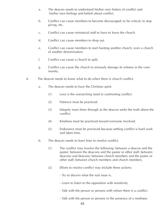- a. The deacon needs to understand his/her own history of conflict and his/her own feelings and beliefs about conflict.
- b. Conflict can cause members to become discouraged; to be critical; to stop giving, etc.
- c. Conflict can cause ministerial staff to have to leave the church.
- d. Conflict can cause members to drop out.
- e. Conflict can cause members to start hunting another church, even a church of another denomination.
- f. Conflict can cause a church to split.
- g. Conflict can cause the church to seriously damage its witness in the community.
- 4. The deacon needs to know what to do when there is church conflict.
	- a. The deacon needs to have the Christian spirit.
		- (1) Love is the overarching need in confronting conflict.
		- (2) Patience must be practiced.
		- (3) Integrity must show through as the deacon seeks the truth about the conflict.
		- (4) Kindness must be practiced toward everyone involved.
		- (5) Endurance must be practiced because settling conflict is hard work and takes time.
	- b. The deacon needs to learn how to resolve conflict.
		- (1) The conflict may involve the following: between a deacon and the pastor; between the deacons and the pastor or other staff; between deacons and deacons; between church members and the pastor or other staff; between church members and church members.
		- (2) Efforts to resolve conflict may include these actions:
			- Try to discern what the real issue is.
			- Learn to listen to the opposition with sensitivity.
			- Talk with the person or persons with whom there is a conflict.
			- Talk with the person or persons in the presence of a mediator.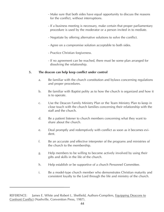- Make sure that both sides have equal opportunity to discuss the reasons for the conflict, without interruptions.
- If a business meeting is necessary, make certain that proper parliamentary procedure is used by the moderator or a person invited in to mediate.
- Negotiate by offering alternative solutions to solve the conflict.
- Agree on a compromise solution acceptable to both sides.
- Practice Christian forgiveness.
- If no agreement can be reached, there must be some plan arranged for dissolving the relationship.

### **5. The deacon can help keep conflict under control**

- a. Be familiar with the church constitution and bylaws concerning regulations and proper procedures.
- b. Be familiar with Baptist polity as to how the church is organized and how it is to operate.
- c. Use the Deacon Family Ministry Plan or the Team Ministry Plan to keep in close touch with the church families concerning their relationship with the staff and the church.
- d. Be a patient listener to church members concerning what they want to share about the church.
- e. Deal promptly and redemptively with conflict as soon as it becomes evident.
- f. Be an accurate and effective interpreter of the programs and ministries of the church to the membership.
- g. Help members to be willing to become actively involved by using their gifts and skills in the life of the church.
- h. Help establish or be supportive of a church Personnel Committee.
- i. Be a model-type church member who demonstrates Christian maturity and consistent loyalty to the Lord through the life and ministry of the church.

REFERENCE: James E. White and Robert L. Sheffield, Authors-Compilers, Equipping Deacons to Confront Conflict (Nashville, Convention Press, 1987).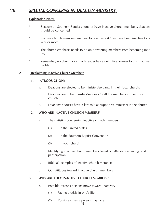# **VII. SPECIAL CONCERNS IN DEACON MINISTRY**

# **Explanation Notes:**

- \* Because all Southern Baptist churches have inactive church members, deacons should be concerned.
- \* Inactive church members are hard to reactivate if they have been inactive for a year or more.
- \* The church emphasis needs to be on preventing members from becoming inactive.
- \* Remember, no church or church leader has a definitive answer to this inactive problem.

# **A. Reclaiming Inactive Church Members**

# **1. INTRODUCTION:**

- a. Deacons are elected to be ministers/servants in their local church.
- b. Deacons are to be ministers/servants to all the members in their local church.
- c. Deacon's spouses have a key role as supportive ministers in the church.

# **2. WHO ARE INACTIVE CHURCH MEMBERS?**

- a. The statistics concerning inactive church members
	- (1) In the United States
	- (2) In the Southern Baptist Convention
	- (3) In your church
- b. Identifying inactive church members based on attendance, giving, and participation
- c. Biblical examples of inactive church members
- d. Our attitudes toward inactive church members

#### **3. WHY ARE THEY INACTIVE CHURCH MEMBERS?**

- a. Possible reasons persons move toward inactivity
	- (1) Facing a crisis in one's life
	- (2) Possible crises a person may face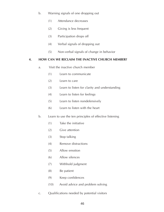- b. Warning signals of one dropping out
	- (1) Attendance decreases
	- (2) Giving is less frequent
	- (3) Participation drops off
	- (4) Verbal signals of dropping out
	- (5) Non-verbal signals of change in behavior

# **4. HOW CAN WE RECLAIM THE INACTIVE CHURCH MEMBER?**

- a. Visit the inactive church member
	- (1) Learn to communicate
	- (2) Learn to care
	- (3) Learn to listen for clarity and understanding
	- (4) Learn to listen for feelings
	- (5) Learn to listen nondefensively
	- (6) Learn to listen with the heart
- b. Learn to use the ten principles of effective listening
	- (1) Take the initiative
	- (2) Give attention
	- (3) Stop talking
	- (4) Remove distractions
	- (5) Allow emotion
	- (6) Allow silences
	- (7) Withhold judgment
	- (8) Be patient
	- (9) Keep confidences
	- (10) Avoid advice and problem solving
- c. Qualifications needed by potential visitors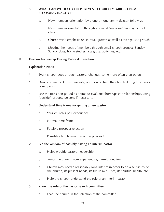# **5. WHAT CAN WE DO TO HELP PREVENT CHURCH MEMBERS FROM BECOMING INACTIVE?**

- a. New members orientation by a one-on-one family deacon follow up
- b. New member orientation through a special "on going" Sunday School class
- c. Church-wide emphasis on spiritual growth as well as evangelistic growth
- d. Meeting the needs of members through small church groups: Sunday School class, home studies, age group activities, etc.

# **B. Deacon Leadership During Pastoral Transition**

# **Explanation Notes:**

- \* Every church goes through pastoral changes, some more often than others.
- \* Deacons need to know their role, and how to help the church during this transitional period.
- \* Use the transition period as a time to evaluate church/pastor relationships, using "outside" resource persons if necessary.

# **1. Understand time frame for getting a new pastor**

- a. Your church's past experience
- b. Normal time frame
- c. Possible prospect rejection
- d. Possible church rejection of the prospect

# **2. See the wisdom of possibly having an interim pastor**

- a. Helps provide pastoral leadership
- b. Keeps the church from experiencing harmful decline
- c. Church may need a reasonably long interim in order to do a self-study of the church, its present needs, its future ministries, its spiritual health, etc.
- d. Help the church understand the role of an interim pastor

# **3. Know the role of the pastor search committee**

a. Lead the church in the selection of the committee.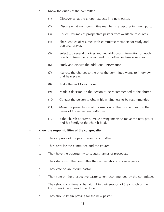- b. Know the duties of the committee.
	- (1) Discover what the church expects in a new pastor.
	- (2) Discuss what each committee member is expecting in a new pastor.
	- (3) Collect resumes of prospective pastors from available resources.
	- (4) Share copies of resumes with committee members for study and personal prayer.
	- (5) Select top several choices and get additional information on each one both from the prospect and from other legitimate sources.
	- (6) Study and discuss the additional information.
	- (7) Narrow the choices to the ones the committee wants to interview and hear preach.
	- (8) Make the visit to each one.
	- (9) Made a decision on the person to be recommended to the church.
	- (10) Contact the person to obtain his willingness to be recommended.
	- (11) Make the presentation of information on the prospect and on the terms of the agreement with him.
	- (12) If the church approves, make arrangements to move the new pastor and his family to the church field.

# **4. Know the responsibilities of the congregation**

- a. They approve of the pastor search committee.
- b. They pray for the committee and the church.
- c. They have the opportunity to suggest names of prospects.
- d. They share with the committee their expectations of a new pastor.
- e. They vote on an interim pastor.
- f. They vote on the prospective pastor when recommended by the committee.
- g. They should continue to be faithful in their support of the church as the Lord's work continues to be done.
- h. They should begin praying for the new pastor.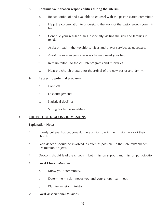# **5. Continue your deacon responsibilities during the interim**

- a. Be supportive of and available to counsel with the pastor search committee
- b. Help the congregation to understand the work of the pastor search committee.
- c. Continue your regular duties, especially visiting the sick and families in need.
- d. Assist or lead in the worship services and prayer services as necessary.
- e. Assist the interim pastor in ways he may need your help.
- f. Remain faithful to the church programs and ministries.
- g. Help the church prepare for the arrival of the new pastor and family.

# **6. Be alert to potential problems**

- a. Conflicts
- b. Discouragements
- c. Statistical declines
- d. Strong leader personalities

# **C. THE ROLE OF DEACONS IN MISSIONS**

# **Explanation Notes:**

- \* I firmly believe that deacons do have a vital role in the mission work of their church.
- \* Each deacon should be involved, as often as possible, in their church's "handson" mission projects.
- \* Deacons should lead the church in both mission support and mission participation.

# **1. Local Church Missions**

- a. Know your community.
- b. Determine mission needs you and your church can meet.
- c. Plan for mission ministry.

# **2. Local Associational Missions**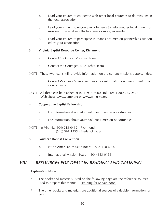- a. Lead your church to cooperate with other local churches to do missions in the local association.
- b. Lead your church to encourage volunteers to help another local church or mission for several months to a year or more, as needed.
- c. Lead your church to participate in "hands on" mission partnerships supported by your association.

## **3. Virginia Baptist Resource Center, Richmond**

- a. Contact the Glocal Missions Team
- b. Contact the Courageous Churches Team
- NOTE: These two teams will provide information on the current missions opportunities.
	- c. Contact Woman's Missionary Union for information on their current mission projects.
- NOTE: All three can be reached at (804) 915-5000, Toll Free 1-800-255-2428 Web sites: www.vbmb.org or www.wmu-va.org

## **4. Cooperative Baptist Fellowship**

- a. For information about adult volunteer mission opportunities
- b. For information about youth volunteer mission opportunities

NOTE: In Virginia (804) 213-0412 - Richmond (540) 361-1335 - Fredericksburg

#### **5. Southern Baptist Convention**

- a. North American Mission Board (770) 410-6000
- b. International Mission Board (804) 353-0151

# **VIII. RESOURCES FOR DEACON READING AND TRAINING**

#### **Explanation Notes:**

- \* The books and materials listed on the following page are the reference sources used to prepare this manual— Training for Servanthood
- \* The other books and materials are additional sources of valuable information for you.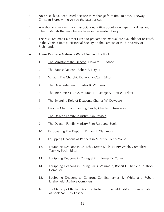- \* No prices have been listed because they change from time to time. Lifeway Christian Stores will give you the latest prices.
- \* You should check with your associational office about videotapes, modules and other materials that may be available in the media library.
- \* The resource materials that I used to prepare this manual are available for research in the Virginia Baptist Historical Society on the campus of the University of Richmond.

#### **A. These Resource Materials Were Used in This Book:**

- 1. The Ministry of the Deacon, Howard B. Foshee
- 2. The Baptist Deacon, Robert E. Naylor
- 3. What Is The Church?, Duke K. McCall. Editor
- 4. The New Testament, Charles B. Williams
- 5. The Interpreter's Bible, Volume 11, George A. Buttrick, Editor
- 6. The Emerging Role of Deacons, Charles W. Deweese
- 7. Deacon Chairman Planning Guide, Charles F. Treadway
- 8. The Deacon Family Ministry Plan Revised
- 9. The Deacon Family Ministry Plan Resource Book
- 10. Discovering The Depths, William P. Clemmons
- 11. Equipping Deacons as Partners in Ministry, Henry Webb
- 12. Equipping Deacons in Church Growth Skills, Henry Webb, Compiler; Terry A. Peck, Editor
- 13. Equipping Deacons in Caring Skills, Homer D. Carter
- 14. Equipping Deacons in Caring Skills, Volume 2, Robert L. Sheffield, Author-**Compiler**
- 15. Equipping Deacons to Confront Conflict, James E. White and Robert L. Sheffield, Authors-Compilers
- 16. The Ministry of Baptist Deacons, Robert L. Sheffield, Editor It is an update of book No. 1 by Foshee.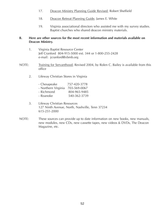- 17. Deacon Ministry Planning Guide Revised, Robert Sheffield
- 18. Deacon Retreat Planning Guide, James E. White
- 19. Virginia associational directors who assisted me with my survey studies. Baptist churches who shared deacon ministry materials.

# **B. Here are other sources for the most recent information and materials available on Deacon Ministry.**

- 1. Virginia Baptist Resource Center Jeff Cranford 804-915-5000 ext. 344 or 1-800-255-2428 e-mail: jcranford@vbmb.org
- NOTE: Training for Servanthood, Revised 2004, by Rolen C. Bailey is available from this office
	- 2. Lifeway Christian Stores in Virginia

| - Chesapeake        | 757-420-3778 |
|---------------------|--------------|
| - Northern Virginia | 703-569-0067 |
| - Richmond          | 804-965-9485 |
| - Roanoke           | 540-362-3739 |

- 3. Lifeway Christian Resources 127 Ninth Avenue, North, Nashville, Tenn 37234 615-251-2000
- NOTE: These sources can provide up to date information on new books, new manuals, new modules, new CDs, new cassette tapes, new videos & DVDs, The Deacon Magazine, etc.